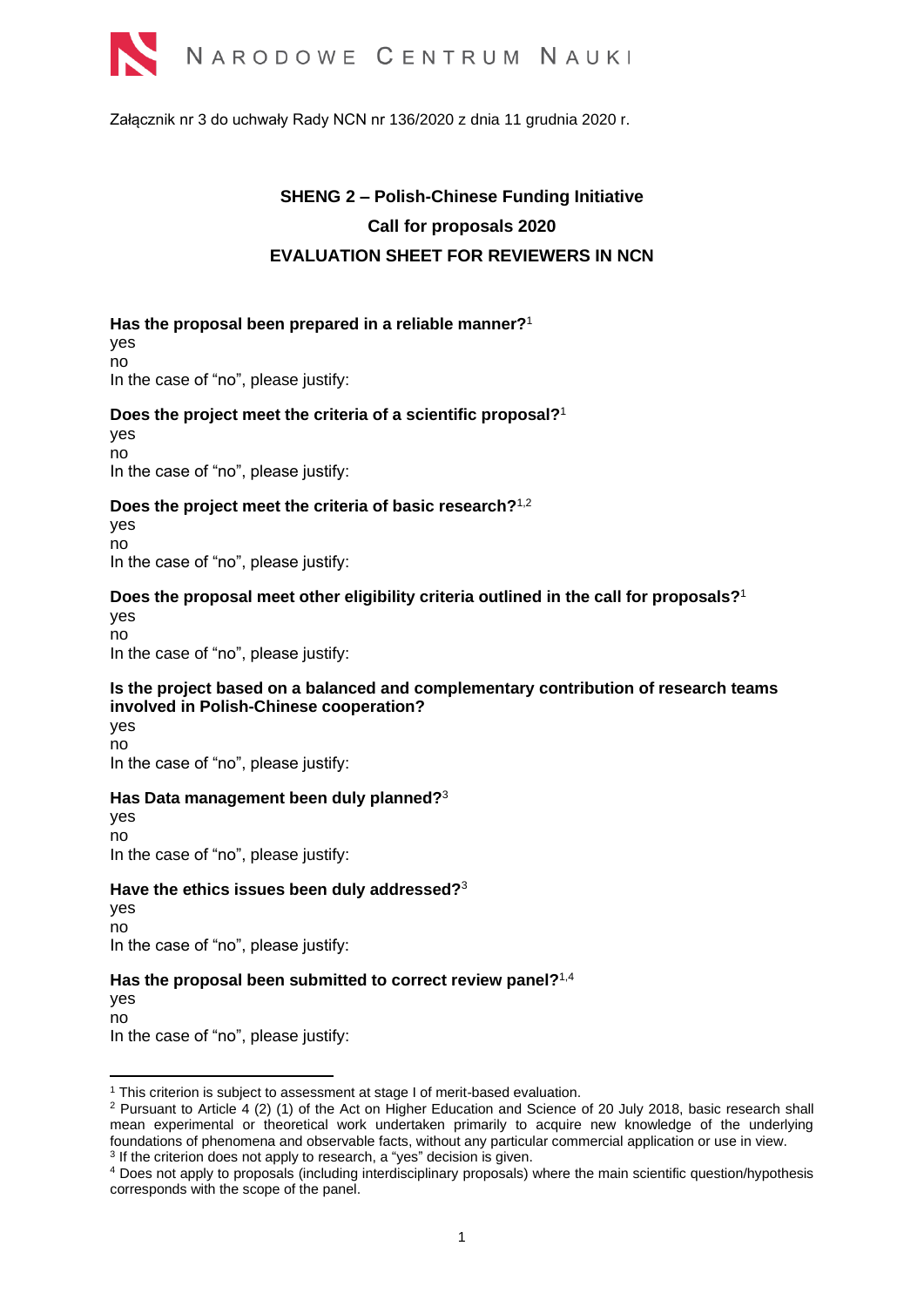

Załącznik nr 3 do uchwały Rady NCN nr 136/2020 z dnia 11 grudnia 2020 r.

# <span id="page-0-0"></span>**SHENG 2 – Polish-Chinese Funding Initiative Call for proposals 2020 EVALUATION SHEET FOR REVIEWERS IN NCN**

**Has the proposal been prepared in a reliable manner?**<sup>1</sup> yes no In the case of "no", please justify:

#### **Does the project meet the criteria of a scientific proposal?** [1](#page-0-0)

yes no In the case of "no", please justify:

#### **Does the project meet the criteria of basic research?**[1,2](#page-0-0)

yes no In the case of "no", please justify:

# **Does the proposal meet other eligibility criteria outlined in the call for proposals?**[1](#page-0-0)

yes no In the case of "no", please justify:

#### **Is the project based on a balanced and complementary contribution of research teams involved in Polish-Chinese cooperation?**

yes no In the case of "no", please justify:

#### **Has Data management been duly planned?**<sup>3</sup>

<span id="page-0-1"></span>yes no In the case of "no", please justify:

#### **Have the ethics issues been duly addressed?**[3](#page-0-1)

yes no In the case of "no", please justify:

### Has the proposal been submitted to correct review panel?<sup>1,4</sup>

yes no In the case of "no", please justify:

<sup>&</sup>lt;sup>1</sup> This criterion is subject to assessment at stage I of merit-based evaluation.

<sup>2</sup> Pursuant to Article 4 (2) (1) of the Act on Higher Education and Science of 20 July 2018, basic research shall mean experimental or theoretical work undertaken primarily to acquire new knowledge of the underlying foundations of phenomena and observable facts, without any particular commercial application or use in view. <sup>3</sup> If the criterion does not apply to research, a "yes" decision is given.

<sup>4</sup> Does not apply to proposals (including interdisciplinary proposals) where the main scientific question/hypothesis corresponds with the scope of the panel.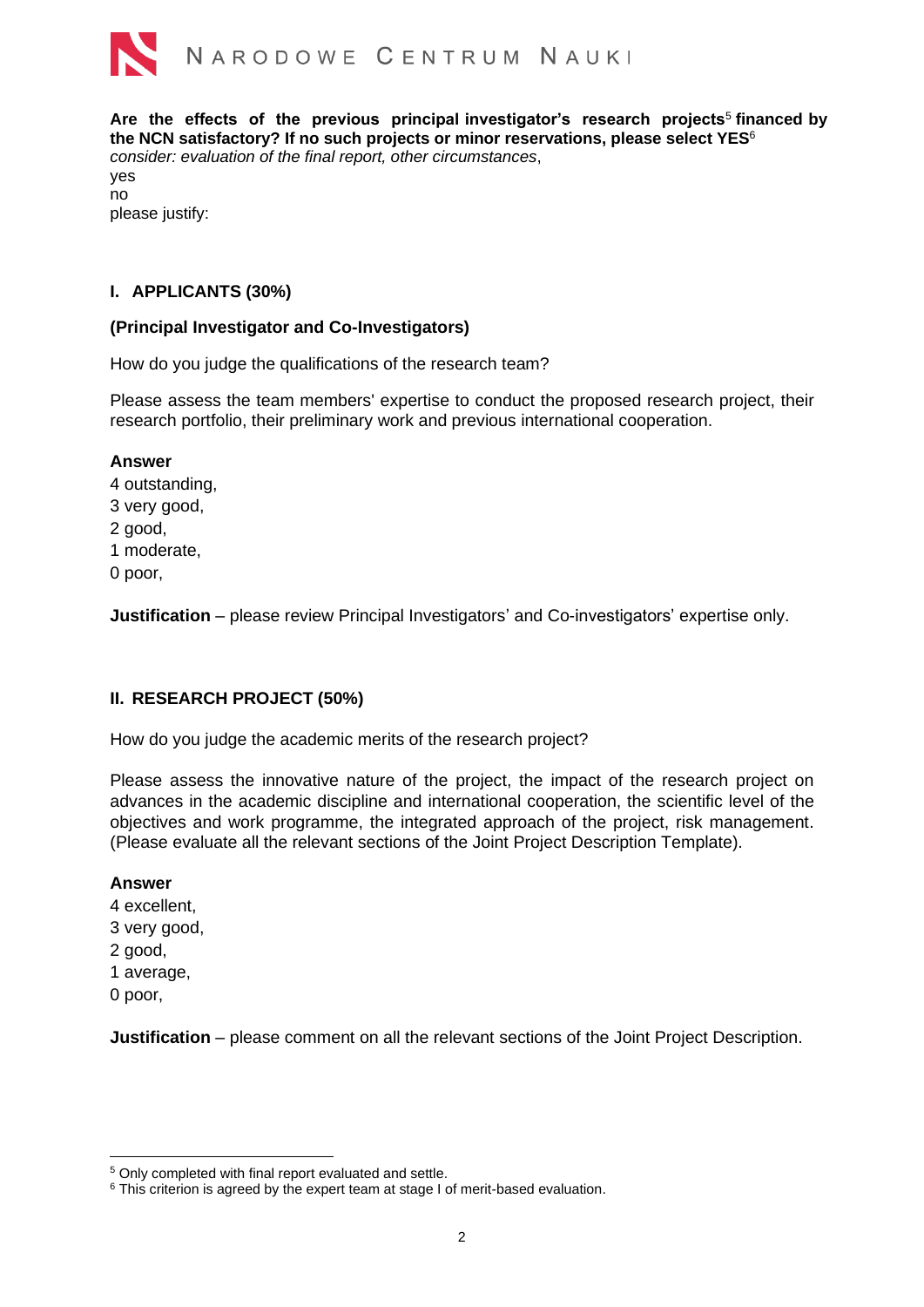

**Are the effects of the previous principal investigator's research projects**<sup>5</sup> **financed by the NCN satisfactory? If no such projects or minor reservations, please select YES**<sup>6</sup> *consider: evaluation of the final report, other circumstances*, yes no please justify:

## **I. APPLICANTS (30%)**

### **(Principal Investigator and Co-Investigators)**

How do you judge the qualifications of the research team?

Please assess the team members' expertise to conduct the proposed research project, their research portfolio, their preliminary work and previous international cooperation.

## **Answer**

4 outstanding, 3 very good, 2 good, 1 moderate, 0 poor,

**Justification** – please review Principal Investigators' and Co-investigators' expertise only.

# **II. RESEARCH PROJECT (50%)**

How do you judge the academic merits of the research project?

Please assess the innovative nature of the project, the impact of the research project on advances in the academic discipline and international cooperation, the scientific level of the objectives and work programme, the integrated approach of the project, risk management. (Please evaluate all the relevant sections of the Joint Project Description Template).

### **Answer**

- 4 excellent, 3 very good, 2 good, 1 average,
- 0 poor,

**Justification** – please comment on all the relevant sections of the Joint Project Description.

<sup>5</sup> Only completed with final report evaluated and settle.

<sup>&</sup>lt;sup>6</sup> This criterion is agreed by the expert team at stage I of merit-based evaluation.